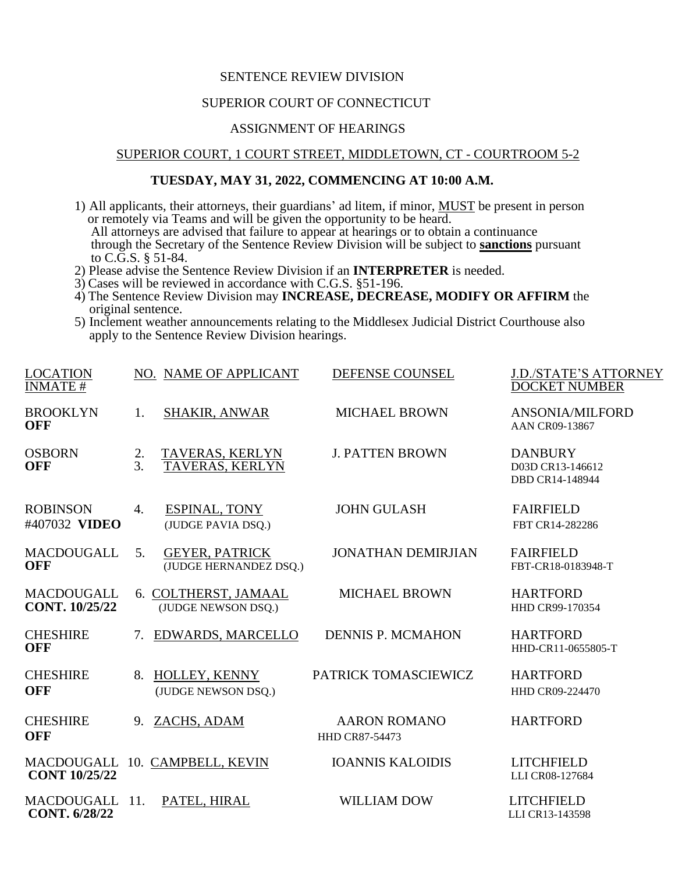#### SENTENCE REVIEW DIVISION

# SUPERIOR COURT OF CONNECTICUT

## ASSIGNMENT OF HEARINGS

#### SUPERIOR COURT, 1 COURT STREET, MIDDLETOWN, CT - COURTROOM 5-2

## **TUESDAY, MAY 31, 2022, COMMENCING AT 10:00 A.M.**

- 1) All applicants, their attorneys, their guardians' ad litem, if minor, MUST be present in person or remotely via Teams and will be given the opportunity to be heard. All attorneys are advised that failure to appear at hearings or to obtain a continuance through the Secretary of the Sentence Review Division will be subject to **sanctions** pursuant to C.G.S. § 51-84.
- 2) Please advise the Sentence Review Division if an **INTERPRETER** is needed.
- 3) Cases will be reviewed in accordance with C.G.S. §51-196.
- 4) The Sentence Review Division may **INCREASE, DECREASE, MODIFY OR AFFIRM** the original sentence.
- 5) Inclement weather announcements relating to the Middlesex Judicial District Courthouse also apply to the Sentence Review Division hearings.

| <b>LOCATION</b><br><b>INMATE#</b>         |          | NO. NAME OF APPLICANT                           | DEFENSE COUNSEL                              | <b>J.D./STATE'S ATTORNEY</b><br><b>DOCKET NUMBER</b>  |
|-------------------------------------------|----------|-------------------------------------------------|----------------------------------------------|-------------------------------------------------------|
| <b>BROOKLYN</b><br>OFF                    | 1.       | <b>SHAKIR, ANWAR</b>                            | <b>MICHAEL BROWN</b>                         | <b>ANSONIA/MILFORD</b><br>AAN CR09-13867              |
| <b>OSBORN</b><br><b>OFF</b>               | 2.<br>3. | TAVERAS, KERLYN<br>TAVERAS, KERLYN              | <b>J. PATTEN BROWN</b>                       | <b>DANBURY</b><br>D03D CR13-146612<br>DBD CR14-148944 |
| <b>ROBINSON</b><br>#407032 VIDEO          | 4.       | <b>ESPINAL, TONY</b><br>(JUDGE PAVIA DSQ.)      | <b>JOHN GULASH</b>                           | <b>FAIRFIELD</b><br>FBT CR14-282286                   |
| <b>MACDOUGALL</b><br><b>OFF</b>           | 5.       | <b>GEYER, PATRICK</b><br>(JUDGE HERNANDEZ DSQ.) | <b>JONATHAN DEMIRJIAN</b>                    | <b>FAIRFIELD</b><br>FBT-CR18-0183948-T                |
| <b>MACDOUGALL</b><br>CONT. 10/25/22       |          | 6. COLTHERST, JAMAAL<br>(JUDGE NEWSON DSQ.)     | <b>MICHAEL BROWN</b>                         | <b>HARTFORD</b><br>HHD CR99-170354                    |
| <b>CHESHIRE</b><br><b>OFF</b>             | 7.       | EDWARDS, MARCELLO                               | <b>DENNIS P. MCMAHON</b>                     | <b>HARTFORD</b><br>HHD-CR11-0655805-T                 |
| <b>CHESHIRE</b><br><b>OFF</b>             | 8.       | HOLLEY, KENNY<br>(JUDGE NEWSON DSQ.)            | PATRICK TOMASCIEWICZ                         | <b>HARTFORD</b><br><b>HHD CR09-224470</b>             |
| <b>CHESHIRE</b><br><b>OFF</b>             |          | 9. ZACHS, ADAM                                  | <b>AARON ROMANO</b><br><b>HHD CR87-54473</b> | <b>HARTFORD</b>                                       |
| <b>MACDOUGALL</b><br><b>CONT 10/25/22</b> |          | 10. CAMPBELL, KEVIN                             | <b>IOANNIS KALOIDIS</b>                      | <b>LITCHFIELD</b><br>LLI CR08-127684                  |
| <b>MACDOUGALL</b><br><b>CONT. 6/28/22</b> | 11.      | PATEL, HIRAL                                    | <b>WILLIAM DOW</b>                           | <b>LITCHFIELD</b><br>LLI CR13-143598                  |